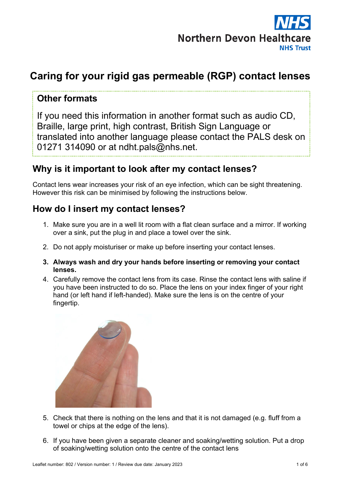

# **Caring for your rigid gas permeable (RGP) contact lenses**

## **Other formats**

If you need this information in another format such as audio CD, Braille, large print, high contrast, British Sign Language or translated into another language please contact the PALS desk on 01271 314090 or at ndht.pals@nhs.net.

## **Why is it important to look after my contact lenses?**

Contact lens wear increases your risk of an eye infection, which can be sight threatening. However this risk can be minimised by following the instructions below.

## **How do I insert my contact lenses?**

- 1. Make sure you are in a well lit room with a flat clean surface and a mirror. If working over a sink, put the plug in and place a towel over the sink.
- 2. Do not apply moisturiser or make up before inserting your contact lenses.
- **3. Always wash and dry your hands before inserting or removing your contact lenses.**
- 4. Carefully remove the contact lens from its case. Rinse the contact lens with saline if you have been instructed to do so. Place the lens on your index finger of your right hand (or left hand if left-handed). Make sure the lens is on the centre of your fingertip.



- 5. Check that there is nothing on the lens and that it is not damaged (e.g. fluff from a towel or chips at the edge of the lens).
- 6. If you have been given a separate cleaner and soaking/wetting solution. Put a drop of soaking/wetting solution onto the centre of the contact lens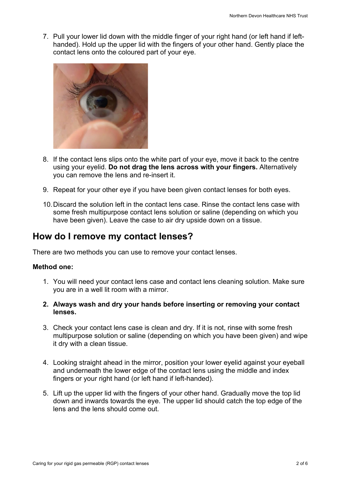7. Pull your lower lid down with the middle finger of your right hand (or left hand if lefthanded). Hold up the upper lid with the fingers of your other hand. Gently place the contact lens onto the coloured part of your eye.



- 8. If the contact lens slips onto the white part of your eye, move it back to the centre using your eyelid. **Do not drag the lens across with your fingers.** Alternatively you can remove the lens and re-insert it.
- 9. Repeat for your other eye if you have been given contact lenses for both eyes.
- 10.Discard the solution left in the contact lens case. Rinse the contact lens case with some fresh multipurpose contact lens solution or saline (depending on which you have been given). Leave the case to air dry upside down on a tissue.

## **How do I remove my contact lenses?**

There are two methods you can use to remove your contact lenses.

#### **Method one:**

- 1. You will need your contact lens case and contact lens cleaning solution. Make sure you are in a well lit room with a mirror.
- **2. Always wash and dry your hands before inserting or removing your contact lenses.**
- 3. Check your contact lens case is clean and dry. If it is not, rinse with some fresh multipurpose solution or saline (depending on which you have been given) and wipe it dry with a clean tissue.
- 4. Looking straight ahead in the mirror, position your lower eyelid against your eyeball and underneath the lower edge of the contact lens using the middle and index fingers or your right hand (or left hand if left-handed).
- 5. Lift up the upper lid with the fingers of your other hand. Gradually move the top lid down and inwards towards the eye. The upper lid should catch the top edge of the lens and the lens should come out.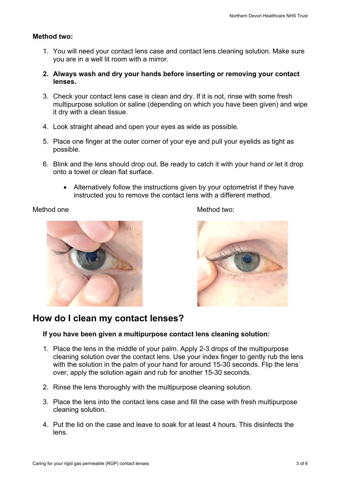#### **Method two:**

- 1. You will need your contact lens case and contact lens cleaning solution. Make sure you are in a well lit room with a mirror.
- **2. Always wash and dry your hands before inserting or removing your contact lenses.**
- 3. Check your contact lens case is clean and dry. If it is not, rinse with some fresh multipurpose solution or saline (depending on which you have been given) and wipe it dry with a clean tissue.
- 4. Look straight ahead and open your eyes as wide as possible.
- 5. Place one finger at the outer corner of your eye and pull your eyelids as tight as possible.
- 6. Blink and the lens should drop out. Be ready to catch it with your hand or let it drop onto a towel or clean flat surface.
	- Alternatively follow the instructions given by your optometrist if they have instructed you to remove the contact lens with a different method.







## **How do I clean my contact lenses?**

#### **If you have been given a multipurpose contact lens cleaning solution:**

- 1. Place the lens in the middle of your palm. Apply 2-3 drops of the multipurpose cleaning solution over the contact lens. Use your index finger to gently rub the lens with the solution in the palm of your hand for around 15-30 seconds. Flip the lens over, apply the solution again and rub for another 15-30 seconds.
- 2. Rinse the lens thoroughly with the multipurpose cleaning solution.
- 3. Place the lens into the contact lens case and fill the case with fresh multipurpose cleaning solution.
- 4. Put the lid on the case and leave to soak for at least 4 hours. This disinfects the lens.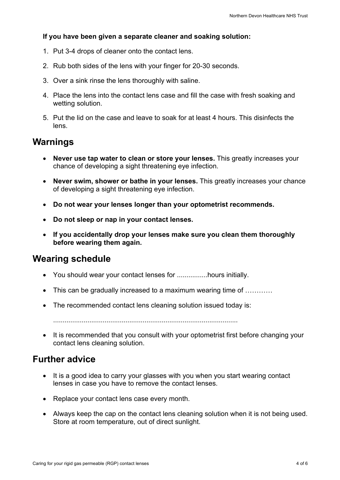#### **If you have been given a separate cleaner and soaking solution:**

- 1. Put 3-4 drops of cleaner onto the contact lens.
- 2. Rub both sides of the lens with your finger for 20-30 seconds.
- 3. Over a sink rinse the lens thoroughly with saline.
- 4. Place the lens into the contact lens case and fill the case with fresh soaking and wetting solution.
- 5. Put the lid on the case and leave to soak for at least 4 hours. This disinfects the lens.

## **Warnings**

- **Never use tap water to clean or store your lenses.** This greatly increases your chance of developing a sight threatening eye infection.
- **Never swim, shower or bathe in your lenses.** This greatly increases your chance of developing a sight threatening eye infection.
- **Do not wear your lenses longer than your optometrist recommends.**
- **Do not sleep or nap in your contact lenses.**
- **If you accidentally drop your lenses make sure you clean them thoroughly before wearing them again.**

## **Wearing schedule**

- You should wear your contact lenses for ................hours initially.
- This can be gradually increased to a maximum wearing time of ...........
- The recommended contact lens cleaning solution issued today is:

.................................................................................................

• It is recommended that you consult with your optometrist first before changing your contact lens cleaning solution.

## **Further advice**

- It is a good idea to carry your glasses with you when you start wearing contact lenses in case you have to remove the contact lenses.
- Replace your contact lens case every month.
- Always keep the cap on the contact lens cleaning solution when it is not being used. Store at room temperature, out of direct sunlight.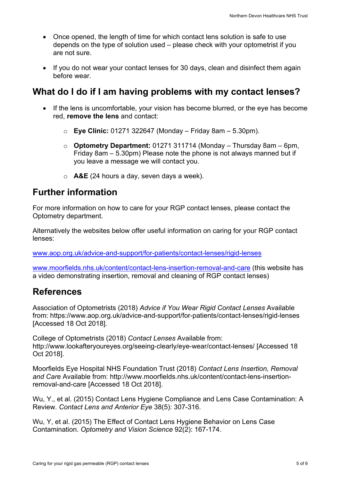- Once opened, the length of time for which contact lens solution is safe to use depends on the type of solution used – please check with your optometrist if you are not sure.
- If you do not wear your contact lenses for 30 days, clean and disinfect them again before wear.

## **What do I do if I am having problems with my contact lenses?**

- If the lens is uncomfortable, your vision has become blurred, or the eye has become red, **remove the lens** and contact:
	- o **Eye Clinic:** 01271 322647 (Monday Friday 8am 5.30pm).
	- o **Optometry Department:** 01271 311714 (Monday Thursday 8am 6pm, Friday 8am – 5.30pm) Please note the phone is not always manned but if you leave a message we will contact you.
	- o **A&E** (24 hours a day, seven days a week).

## **Further information**

For more information on how to care for your RGP contact lenses, please contact the Optometry department.

Alternatively the websites below offer useful information on caring for your RGP contact lenses:

www.aop.org.uk/advice-and-support/for-patients/contact-lenses/rigid-lenses

www.moorfields.nhs.uk/content/contact-lens-insertion-removal-and-care (this website has a video demonstrating insertion, removal and cleaning of RGP contact lenses)

## **References**

Association of Optometrists (2018) *Advice if You Wear Rigid Contact Lenses* Available from: https://www.aop.org.uk/advice-and-support/for-patients/contact-lenses/rigid-lenses [Accessed 18 Oct 2018].

College of Optometrists (2018) *Contact Lenses* Available from: http://www.lookafteryoureyes.org/seeing-clearly/eye-wear/contact-lenses/ [Accessed 18 Oct 2018].

Moorfields Eye Hospital NHS Foundation Trust (2018) *Contact Lens Insertion, Removal and Care* Available from: http://www.moorfields.nhs.uk/content/contact-lens-insertionremoval-and-care [Accessed 18 Oct 2018].

Wu, Y., et al. (2015) Contact Lens Hygiene Compliance and Lens Case Contamination: A Review. *Contact Lens and Anterior Eye* 38(5): 307-316.

Wu, Y, et al. (2015) The Effect of Contact Lens Hygiene Behavior on Lens Case Contamination. *Optometry and Vision Science* 92(2): 167-174.